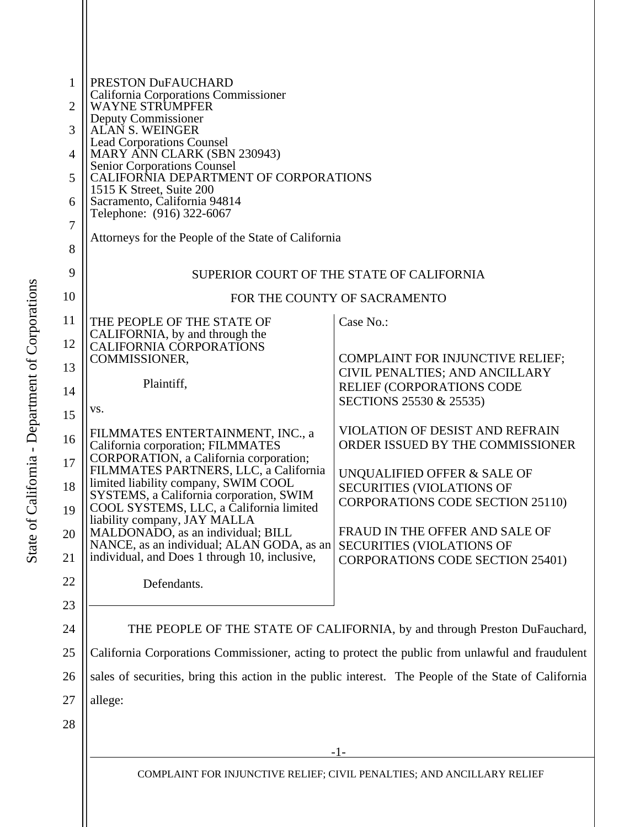| 1<br>2<br>3 | PRESTON DuFAUCHARD<br>California Corporations Commissioner<br><b>WAYNE STRUMPFER</b><br>Deputy Commissioner<br>ALAN S. WEINGER |                                                                             |  |
|-------------|--------------------------------------------------------------------------------------------------------------------------------|-----------------------------------------------------------------------------|--|
| 4           | <b>Lead Corporations Counsel</b><br>MARY ANN CLARK (SBN 230943)                                                                |                                                                             |  |
| 5           | <b>Senior Corporations Counsel</b><br>CALIFORNIA DEPARTMENT OF CORPORATIONS<br>1515 K Street, Suite 200                        |                                                                             |  |
| 6           | Sacramento, California 94814<br>Telephone: (916) 322-6067                                                                      |                                                                             |  |
| 7<br>8      | Attorneys for the People of the State of California                                                                            |                                                                             |  |
| 9           | SUPERIOR COURT OF THE STATE OF CALIFORNIA                                                                                      |                                                                             |  |
| 10          | FOR THE COUNTY OF SACRAMENTO                                                                                                   |                                                                             |  |
| 11          | THE PEOPLE OF THE STATE OF<br>CALIFORNIA, by and through the                                                                   | Case No.:                                                                   |  |
| 12<br>13    | <b>CALIFORNIA CORPORATIONS</b><br>COMMISSIONER,                                                                                | <b>COMPLAINT FOR INJUNCTIVE RELIEF;</b>                                     |  |
| 14          | Plaintiff,                                                                                                                     | CIVIL PENALTIES; AND ANCILLARY<br>RELIEF (CORPORATIONS CODE                 |  |
| 15          | VS.                                                                                                                            | SECTIONS 25530 & 25535)                                                     |  |
| 16          | FILMMATES ENTERTAINMENT, INC., a<br>California corporation; FILMMATES                                                          | <b>VIOLATION OF DESIST AND REFRAIN</b><br>ORDER ISSUED BY THE COMMISSIONER  |  |
| 17          | CORPORATION, a California corporation;<br>FILMMATES PARTNERS, LLC, a California<br>limited liability company, SWIM COOL        | UNQUALIFIED OFFER & SALE OF                                                 |  |
| 18<br>19    | SYSTEMS, a California corporation, SWIM<br>COOL SYSTEMS, LLC, a California limited                                             | <b>SECURITIES (VIOLATIONS OF</b><br><b>CORPORATIONS CODE SECTION 25110)</b> |  |
| 20          | liability company, JAY MALLA<br>MALDONADO, as an individual; BILL                                                              | FRAUD IN THE OFFER AND SALE OF                                              |  |
| 21          | NANCE, as an individual; ALAN GODA, as an<br>individual, and Does 1 through 10, inclusive,                                     | <b>SECURITIES (VIOLATIONS OF</b><br><b>CORPORATIONS CODE SECTION 25401)</b> |  |
| 22          | Defendants.                                                                                                                    |                                                                             |  |
| 23          |                                                                                                                                |                                                                             |  |
| 24          | THE PEOPLE OF THE STATE OF CALIFORNIA, by and through Preston DuFauchard,                                                      |                                                                             |  |
| 25          | California Corporations Commissioner, acting to protect the public from unlawful and fraudulent                                |                                                                             |  |
| 26          | sales of securities, bring this action in the public interest. The People of the State of California                           |                                                                             |  |
| 27          | allege:                                                                                                                        |                                                                             |  |
| 28          |                                                                                                                                |                                                                             |  |
|             | $-1-$                                                                                                                          |                                                                             |  |
|             | COMPLAINT FOR INJUNCTIVE RELIEF; CIVIL PENALTIES; AND ANCILLARY RELIEF                                                         |                                                                             |  |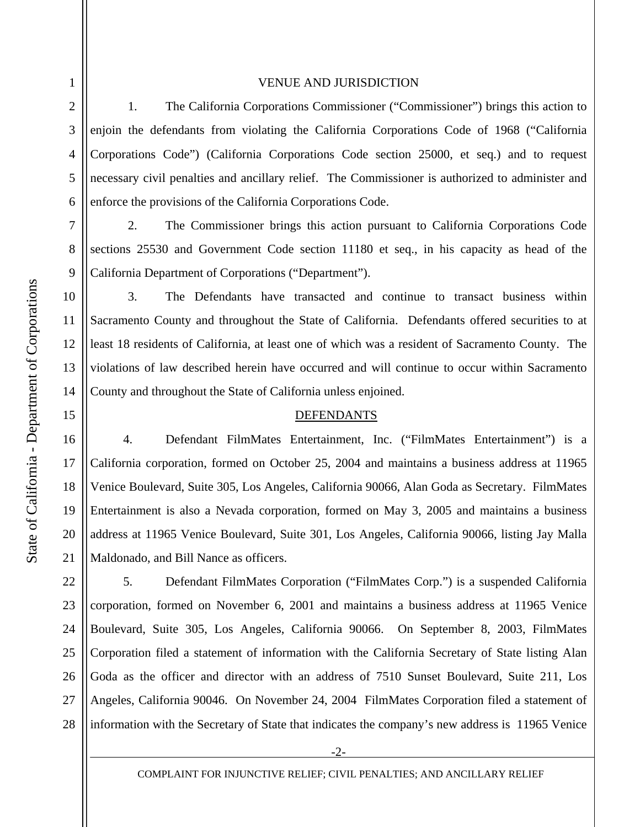2

3

4

5

6

7

8

9

10

11

12

13

14

15

16

17

18

19

20

21

#### VENUE AND JURISDICTION

 1. The California Corporations Commissioner ("Commissioner") brings this action to enjoin the defendants from violating the California Corporations Code of 1968 ("California Corporations Code") (California Corporations Code section 25000, et seq.) and to request necessary civil penalties and ancillary relief. The Commissioner is authorized to administer and enforce the provisions of the California Corporations Code.

 2. The Commissioner brings this action pursuant to California Corporations Code sections 25530 and Government Code section 11180 et seq., in his capacity as head of the California Department of Corporations ("Department").

 3. The Defendants have transacted and continue to transact business within Sacramento County and throughout the State of California. Defendants offered securities to at least 18 residents of California, at least one of which was a resident of Sacramento County. The violations of law described herein have occurred and will continue to occur within Sacramento County and throughout the State of California unless enjoined.

### DEFENDANTS

 4. Defendant FilmMates Entertainment, Inc. ("FilmMates Entertainment") is a California corporation, formed on October 25, 2004 and maintains a business address at 11965 Venice Boulevard, Suite 305, Los Angeles, California 90066, Alan Goda as Secretary. FilmMates Entertainment is also a Nevada corporation, formed on May 3, 2005 and maintains a business address at 11965 Venice Boulevard, Suite 301, Los Angeles, California 90066, listing Jay Malla Maldonado, and Bill Nance as officers.

22 23 24 25 26 27 28 5. Defendant FilmMates Corporation ("FilmMates Corp.") is a suspended California corporation, formed on November 6, 2001 and maintains a business address at 11965 Venice Boulevard, Suite 305, Los Angeles, California 90066. On September 8, 2003, FilmMates Corporation filed a statement of information with the California Secretary of State listing Alan Goda as the officer and director with an address of 7510 Sunset Boulevard, Suite 211, Los Angeles, California 90046. On November 24, 2004 FilmMates Corporation filed a statement of information with the Secretary of State that indicates the company's new address is 11965 Venice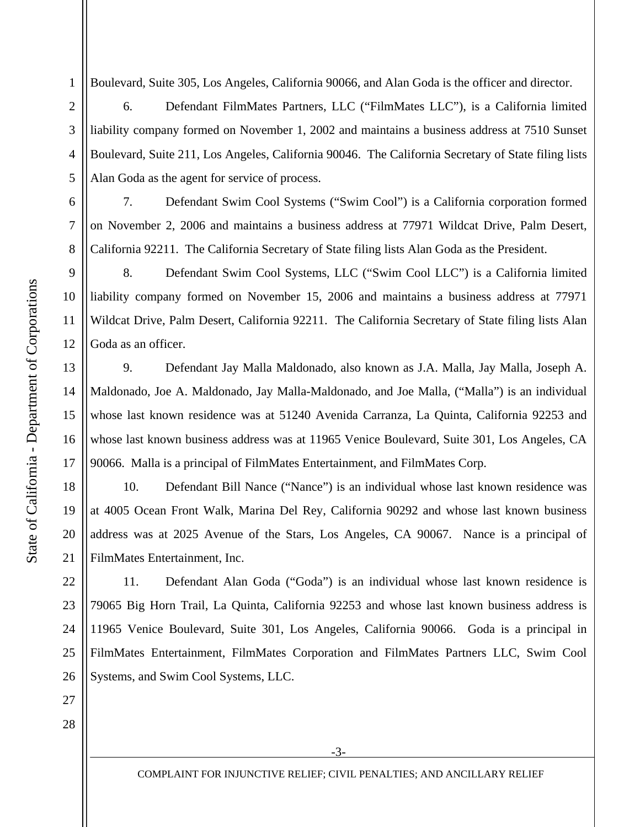Boulevard, Suite 305, Los Angeles, California 90066, and Alan Goda is the officer and director.

 6. Defendant FilmMates Partners, LLC ("FilmMates LLC"), is a California limited liability company formed on November 1, 2002 and maintains a business address at 7510 Sunset Boulevard, Suite 211, Los Angeles, California 90046. The California Secretary of State filing lists Alan Goda as the agent for service of process.

 7. Defendant Swim Cool Systems ("Swim Cool") is a California corporation formed on November 2, 2006 and maintains a business address at 77971 Wildcat Drive, Palm Desert, California 92211. The California Secretary of State filing lists Alan Goda as the President.

 8. Defendant Swim Cool Systems, LLC ("Swim Cool LLC") is a California limited liability company formed on November 15, 2006 and maintains a business address at 77971 Wildcat Drive, Palm Desert, California 92211. The California Secretary of State filing lists Alan Goda as an officer.

 9. Defendant Jay Malla Maldonado, also known as J.A. Malla, Jay Malla, Joseph A. Maldonado, Joe A. Maldonado, Jay Malla-Maldonado, and Joe Malla, ("Malla") is an individual whose last known residence was at 51240 Avenida Carranza, La Quinta, California 92253 and whose last known business address was at 11965 Venice Boulevard, Suite 301, Los Angeles, CA 90066. Malla is a principal of FilmMates Entertainment, and FilmMates Corp.

20 10. Defendant Bill Nance ("Nance") is an individual whose last known residence was at 4005 Ocean Front Walk, Marina Del Rey, California 90292 and whose last known business address was at 2025 Avenue of the Stars, Los Angeles, CA 90067. Nance is a principal of FilmMates Entertainment, Inc.

23 24 25 26 11. Defendant Alan Goda ("Goda") is an individual whose last known residence is 79065 Big Horn Trail, La Quinta, California 92253 and whose last known business address is 11965 Venice Boulevard, Suite 301, Los Angeles, California 90066. Goda is a principal in FilmMates Entertainment, FilmMates Corporation and FilmMates Partners LLC, Swim Cool Systems, and Swim Cool Systems, LLC.

1

2

3

4

5

6

7

8

9

10

11

12

13

14

15

State of California - Department of Corporations

State of California - Department of Corporations

16

17

18

19

21

22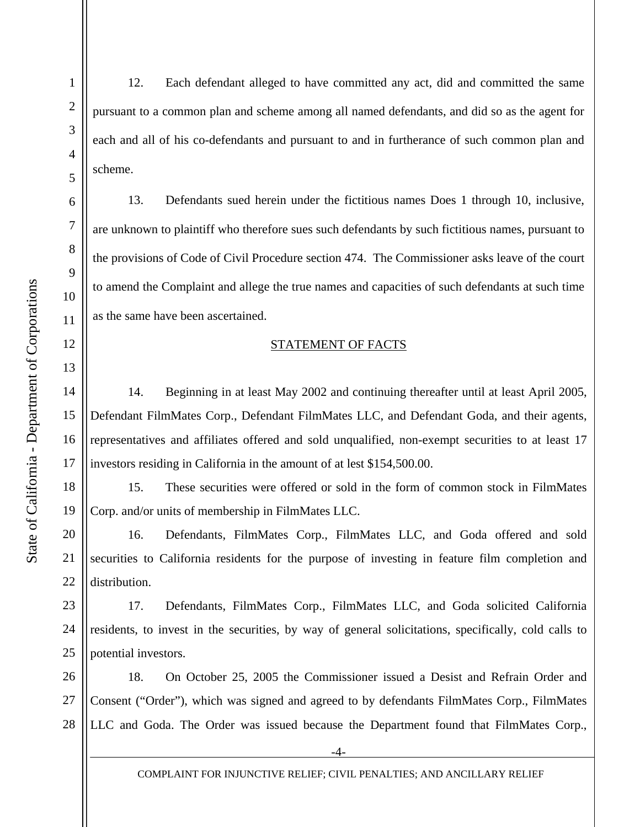2

3

4

5

6

7

8

9

10

11

12

13

14

15

16

17

18

19

12. Each defendant alleged to have committed any act, did and committed the same pursuant to a common plan and scheme among all named defendants, and did so as the agent for each and all of his co-defendants and pursuant to and in furtherance of such common plan and scheme.

 13. Defendants sued herein under the fictitious names Does 1 through 10, inclusive, are unknown to plaintiff who therefore sues such defendants by such fictitious names, pursuant to the provisions of Code of Civil Procedure section 474. The Commissioner asks leave of the court to amend the Complaint and allege the true names and capacities of such defendants at such time as the same have been ascertained.

### STATEMENT OF FACTS

14. Beginning in at least May 2002 and continuing thereafter until at least April 2005, Defendant FilmMates Corp., Defendant FilmMates LLC, and Defendant Goda, and their agents, representatives and affiliates offered and sold unqualified, non-exempt securities to at least 17 investors residing in California in the amount of at lest \$154,500.00.

 15. These securities were offered or sold in the form of common stock in FilmMates Corp. and/or units of membership in FilmMates LLC.

20 21 22 16. Defendants, FilmMates Corp., FilmMates LLC, and Goda offered and sold securities to California residents for the purpose of investing in feature film completion and distribution.

23 24 25 17. Defendants, FilmMates Corp., FilmMates LLC, and Goda solicited California residents, to invest in the securities, by way of general solicitations, specifically, cold calls to potential investors.

26 27 28 18. On October 25, 2005 the Commissioner issued a Desist and Refrain Order and Consent ("Order"), which was signed and agreed to by defendants FilmMates Corp., FilmMates LLC and Goda. The Order was issued because the Department found that FilmMates Corp.,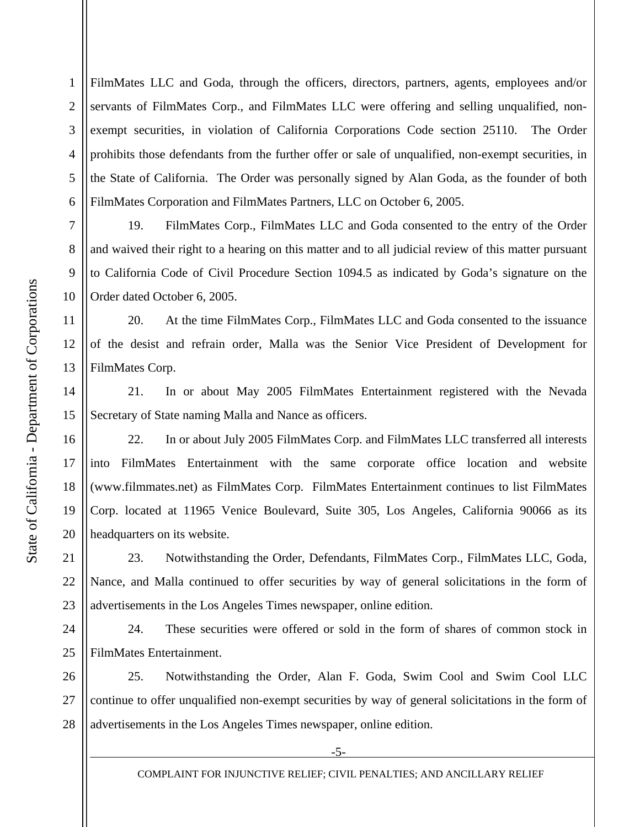1 2 3 4 5 6 FilmMates LLC and Goda, through the officers, directors, partners, agents, employees and/or servants of FilmMates Corp., and FilmMates LLC were offering and selling unqualified, nonexempt securities, in violation of California Corporations Code section 25110. The Order prohibits those defendants from the further offer or sale of unqualified, non-exempt securities, in the State of California. The Order was personally signed by Alan Goda, as the founder of both FilmMates Corporation and FilmMates Partners, LLC on October 6, 2005.

19. FilmMates Corp., FilmMates LLC and Goda consented to the entry of the Order and waived their right to a hearing on this matter and to all judicial review of this matter pursuant to California Code of Civil Procedure Section 1094.5 as indicated by Goda's signature on the Order dated October 6, 2005.

 20. At the time FilmMates Corp., FilmMates LLC and Goda consented to the issuance of the desist and refrain order, Malla was the Senior Vice President of Development for FilmMates Corp.

 21. In or about May 2005 FilmMates Entertainment registered with the Nevada Secretary of State naming Malla and Nance as officers.

 22. In or about July 2005 FilmMates Corp. and FilmMates LLC transferred all interests into FilmMates Entertainment with the same corporate office location and website (www.filmmates.net) as FilmMates Corp. FilmMates Entertainment continues to list FilmMates Corp. located at 11965 Venice Boulevard, Suite 305, Los Angeles, California 90066 as its headquarters on its website.

 23. Notwithstanding the Order, Defendants, FilmMates Corp., FilmMates LLC, Goda, Nance, and Malla continued to offer securities by way of general solicitations in the form of advertisements in the Los Angeles Times newspaper, online edition.

24 25 24. These securities were offered or sold in the form of shares of common stock in FilmMates Entertainment.

26 27 28 25. Notwithstanding the Order, Alan F. Goda, Swim Cool and Swim Cool LLC continue to offer unqualified non-exempt securities by way of general solicitations in the form of advertisements in the Los Angeles Times newspaper, online edition.

7

8

9

10

11

12

13

14

15

16

17

18

19

20

21

22

23

-5-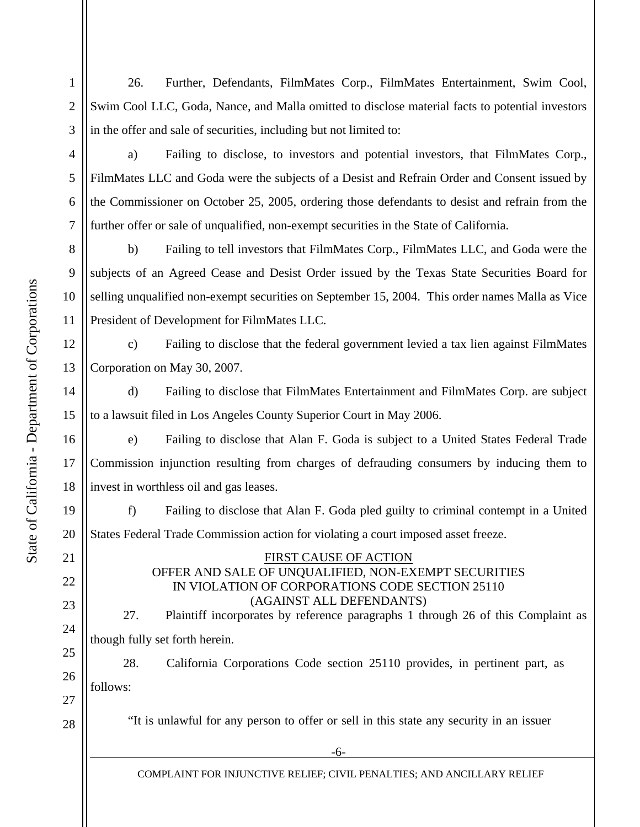1 2 3 26. Further, Defendants, FilmMates Corp., FilmMates Entertainment, Swim Cool, Swim Cool LLC, Goda, Nance, and Malla omitted to disclose material facts to potential investors in the offer and sale of securities, including but not limited to:

 a) Failing to disclose, to investors and potential investors, that FilmMates Corp., FilmMates LLC and Goda were the subjects of a Desist and Refrain Order and Consent issued by the Commissioner on October 25, 2005, ordering those defendants to desist and refrain from the further offer or sale of unqualified, non-exempt securities in the State of California.

8 10 b) Failing to tell investors that FilmMates Corp., FilmMates LLC, and Goda were the subjects of an Agreed Cease and Desist Order issued by the Texas State Securities Board for selling unqualified non-exempt securities on September 15, 2004. This order names Malla as Vice President of Development for FilmMates LLC.

12 13 c) Failing to disclose that the federal government levied a tax lien against FilmMates Corporation on May 30, 2007.

14 d) Failing to disclose that FilmMates Entertainment and FilmMates Corp. are subject to a lawsuit filed in Los Angeles County Superior Court in May 2006.

 e) Failing to disclose that Alan F. Goda is subject to a United States Federal Trade Commission injunction resulting from charges of defrauding consumers by inducing them to invest in worthless oil and gas leases.

 f) Failing to disclose that Alan F. Goda pled guilty to criminal contempt in a United States Federal Trade Commission action for violating a court imposed asset freeze.

## FIRST CAUSE OF ACTION OFFER AND SALE OF UNQUALIFIED, NON-EXEMPT SECURITIES IN VIOLATION OF CORPORATIONS CODE SECTION 25110 (AGAINST ALL DEFENDANTS)

27. Plaintiff incorporates by reference paragraphs 1 through 26 of this Complaint as though fully set forth herein.

 28. California Corporations Code section 25110 provides, in pertinent part, as follows:

"It is unlawful for any person to offer or sell in this state any security in an issuer

-6-

COMPLAINT FOR INJUNCTIVE RELIEF; CIVIL PENALTIES; AND ANCILLARY RELIEF

4

5

6

7

9

11

15

16

17

18

19

20

21

22

23

24

25

26

27

28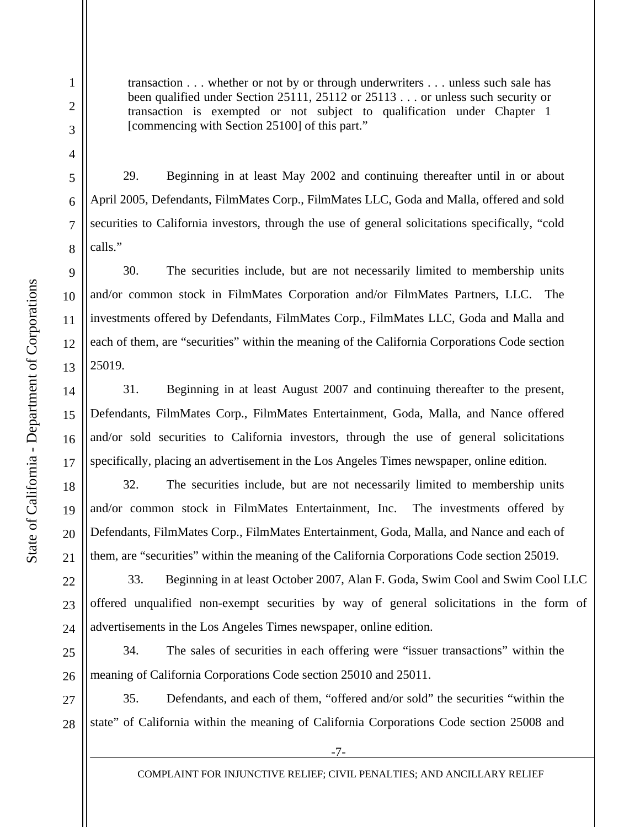2

3

4

5

6

7

8

9

10

11

12

13

14

15

16

17

18

19

20

21

transaction . . . whether or not by or through underwriters . . . unless such sale has been qualified under Section 25111, 25112 or 25113 . . . or unless such security or transaction is exempted or not subject to qualification under Chapter 1 [commencing with Section 25100] of this part."

 29. Beginning in at least May 2002 and continuing thereafter until in or about April 2005, Defendants, FilmMates Corp., FilmMates LLC, Goda and Malla, offered and sold securities to California investors, through the use of general solicitations specifically, "cold calls."

 30. The securities include, but are not necessarily limited to membership units and/or common stock in FilmMates Corporation and/or FilmMates Partners, LLC. The investments offered by Defendants, FilmMates Corp., FilmMates LLC, Goda and Malla and each of them, are "securities" within the meaning of the California Corporations Code section 25019.

 31. Beginning in at least August 2007 and continuing thereafter to the present, Defendants, FilmMates Corp., FilmMates Entertainment, Goda, Malla, and Nance offered and/or sold securities to California investors, through the use of general solicitations specifically, placing an advertisement in the Los Angeles Times newspaper, online edition.

 32. The securities include, but are not necessarily limited to membership units and/or common stock in FilmMates Entertainment, Inc. The investments offered by Defendants, FilmMates Corp., FilmMates Entertainment, Goda, Malla, and Nance and each of them, are "securities" within the meaning of the California Corporations Code section 25019.

22 23 24 33. Beginning in at least October 2007, Alan F. Goda, Swim Cool and Swim Cool LLC offered unqualified non-exempt securities by way of general solicitations in the form of advertisements in the Los Angeles Times newspaper, online edition.

25 26 34. The sales of securities in each offering were "issuer transactions" within the meaning of California Corporations Code section 25010 and 25011.

27 28 35. Defendants, and each of them, "offered and/or sold" the securities "within the state" of California within the meaning of California Corporations Code section 25008 and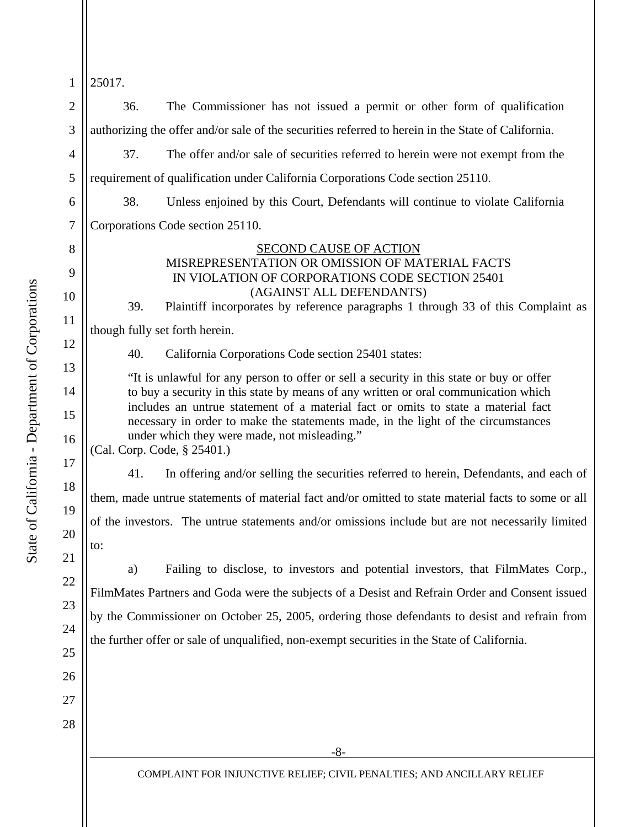| $\mathbf{1}$                                           | 25017.                                                                                                                                                                                                                                                                                                                                                                                                                                                                                                                                                                                                                                                                                                                                                                                                                                                                                         |  |  |
|--------------------------------------------------------|------------------------------------------------------------------------------------------------------------------------------------------------------------------------------------------------------------------------------------------------------------------------------------------------------------------------------------------------------------------------------------------------------------------------------------------------------------------------------------------------------------------------------------------------------------------------------------------------------------------------------------------------------------------------------------------------------------------------------------------------------------------------------------------------------------------------------------------------------------------------------------------------|--|--|
| $\overline{2}$                                         | The Commissioner has not issued a permit or other form of qualification<br>36.                                                                                                                                                                                                                                                                                                                                                                                                                                                                                                                                                                                                                                                                                                                                                                                                                 |  |  |
| 3                                                      | authorizing the offer and/or sale of the securities referred to herein in the State of California.                                                                                                                                                                                                                                                                                                                                                                                                                                                                                                                                                                                                                                                                                                                                                                                             |  |  |
| $\overline{4}$                                         | 37.<br>The offer and/or sale of securities referred to herein were not exempt from the                                                                                                                                                                                                                                                                                                                                                                                                                                                                                                                                                                                                                                                                                                                                                                                                         |  |  |
| 5                                                      | requirement of qualification under California Corporations Code section 25110.                                                                                                                                                                                                                                                                                                                                                                                                                                                                                                                                                                                                                                                                                                                                                                                                                 |  |  |
| 6                                                      | 38.<br>Unless enjoined by this Court, Defendants will continue to violate California                                                                                                                                                                                                                                                                                                                                                                                                                                                                                                                                                                                                                                                                                                                                                                                                           |  |  |
| $\overline{7}$                                         | Corporations Code section 25110.                                                                                                                                                                                                                                                                                                                                                                                                                                                                                                                                                                                                                                                                                                                                                                                                                                                               |  |  |
| 8<br>9<br>10<br>11<br>12<br>13<br>14<br>15<br>16<br>17 | SECOND CAUSE OF ACTION<br>MISREPRESENTATION OR OMISSION OF MATERIAL FACTS<br>IN VIOLATION OF CORPORATIONS CODE SECTION 25401<br>(AGAINST ALL DEFENDANTS)<br>Plaintiff incorporates by reference paragraphs 1 through 33 of this Complaint as<br>39.<br>though fully set forth herein.<br>40.<br>California Corporations Code section 25401 states:<br>"It is unlawful for any person to offer or sell a security in this state or buy or offer<br>to buy a security in this state by means of any written or oral communication which<br>includes an untrue statement of a material fact or omits to state a material fact<br>necessary in order to make the statements made, in the light of the circumstances<br>under which they were made, not misleading."<br>(Cal. Corp. Code, § 25401.)<br>In offering and/or selling the securities referred to herein, Defendants, and each of<br>41. |  |  |
| 18                                                     | them, made untrue statements of material fact and/or omitted to state material facts to some or all                                                                                                                                                                                                                                                                                                                                                                                                                                                                                                                                                                                                                                                                                                                                                                                            |  |  |
| 19<br>20<br>21                                         | of the investors. The untrue statements and/or omissions include but are not necessarily limited<br>to:                                                                                                                                                                                                                                                                                                                                                                                                                                                                                                                                                                                                                                                                                                                                                                                        |  |  |
| 22<br>23<br>24<br>25<br>26<br>27                       | Failing to disclose, to investors and potential investors, that FilmMates Corp.,<br>a)<br>FilmMates Partners and Goda were the subjects of a Desist and Refrain Order and Consent issued<br>by the Commissioner on October 25, 2005, ordering those defendants to desist and refrain from<br>the further offer or sale of unqualified, non-exempt securities in the State of California.                                                                                                                                                                                                                                                                                                                                                                                                                                                                                                       |  |  |
| 28                                                     | $-8-$                                                                                                                                                                                                                                                                                                                                                                                                                                                                                                                                                                                                                                                                                                                                                                                                                                                                                          |  |  |
|                                                        | COMPLAINT FOR INJUNCTIVE RELIEF; CIVIL PENALTIES; AND ANCILLARY RELIEF                                                                                                                                                                                                                                                                                                                                                                                                                                                                                                                                                                                                                                                                                                                                                                                                                         |  |  |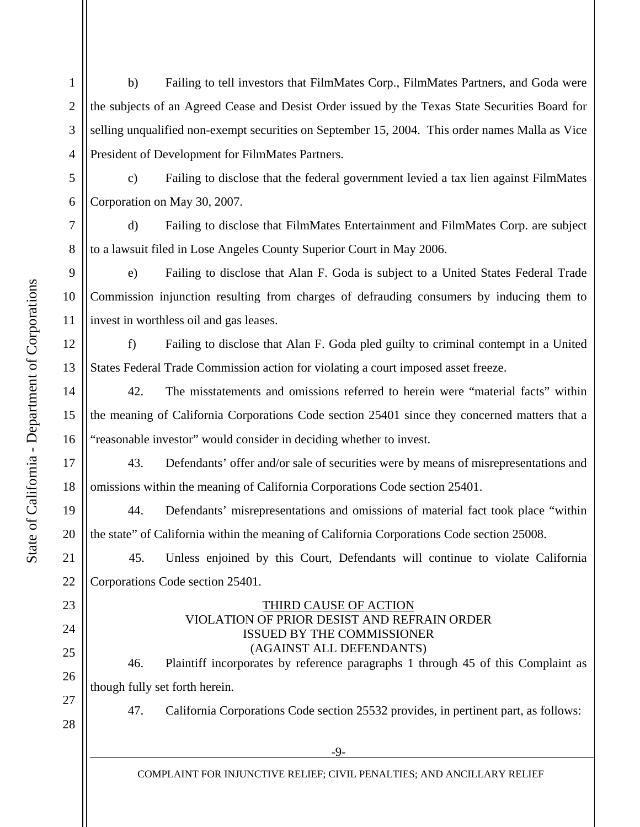1 2 3 4 b) Failing to tell investors that FilmMates Corp., FilmMates Partners, and Goda were the subjects of an Agreed Cease and Desist Order issued by the Texas State Securities Board for selling unqualified non-exempt securities on September 15, 2004. This order names Malla as Vice President of Development for FilmMates Partners.

c) Failing to disclose that the federal government levied a tax lien against FilmMates Corporation on May 30, 2007.

7 d) Failing to disclose that FilmMates Entertainment and FilmMates Corp. are subject to a lawsuit filed in Lose Angeles County Superior Court in May 2006.

e) Failing to disclose that Alan F. Goda is subject to a United States Federal Trade Commission injunction resulting from charges of defrauding consumers by inducing them to invest in worthless oil and gas leases.

f) Failing to disclose that Alan F. Goda pled guilty to criminal contempt in a United States Federal Trade Commission action for violating a court imposed asset freeze.

 42. The misstatements and omissions referred to herein were "material facts" within the meaning of California Corporations Code section 25401 since they concerned matters that a "reasonable investor" would consider in deciding whether to invest.

 43. Defendants' offer and/or sale of securities were by means of misrepresentations and omissions within the meaning of California Corporations Code section 25401.

 44. Defendants' misrepresentations and omissions of material fact took place "within the state" of California within the meaning of California Corporations Code section 25008.

 45. Unless enjoined by this Court, Defendants will continue to violate California Corporations Code section 25401.

# THIRD CAUSE OF ACTION VIOLATION OF PRIOR DESIST AND REFRAIN ORDER ISSUED BY THE COMMISSIONER (AGAINST ALL DEFENDANTS)

46. Plaintiff incorporates by reference paragraphs 1 through 45 of this Complaint as though fully set forth herein.

47. California Corporations Code section 25532 provides, in pertinent part, as follows:

5

6

9

10

8

12

13

11

14

15

16

17

18

19

20

21

22

23

24

25

26

27

28

-9-

COMPLAINT FOR INJUNCTIVE RELIEF; CIVIL PENALTIES; AND ANCILLARY RELIEF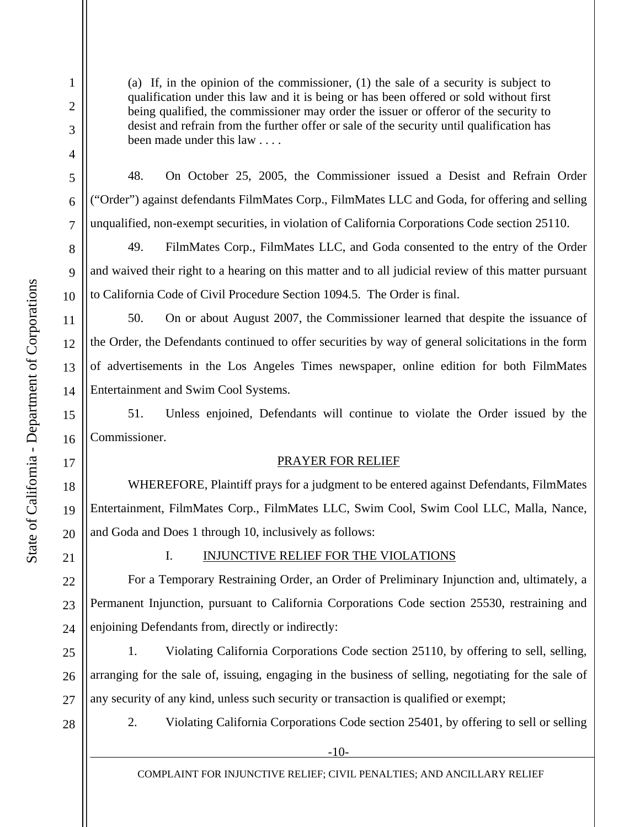2

3

4

5

6

7

8

9

10

11

12

13

14

15

16

17

18

19

20

(a) If, in the opinion of the commissioner, (1) the sale of a security is subject to qualification under this law and it is being or has been offered or sold without first being qualified, the commissioner may order the issuer or offeror of the security to desist and refrain from the further offer or sale of the security until qualification has been made under this law . . . .

48. On October 25, 2005, the Commissioner issued a Desist and Refrain Order ("Order") against defendants FilmMates Corp., FilmMates LLC and Goda, for offering and selling unqualified, non-exempt securities, in violation of California Corporations Code section 25110.

 49. FilmMates Corp., FilmMates LLC, and Goda consented to the entry of the Order and waived their right to a hearing on this matter and to all judicial review of this matter pursuant to California Code of Civil Procedure Section 1094.5. The Order is final.

 50. On or about August 2007, the Commissioner learned that despite the issuance of the Order, the Defendants continued to offer securities by way of general solicitations in the form of advertisements in the Los Angeles Times newspaper, online edition for both FilmMates Entertainment and Swim Cool Systems.

 51. Unless enjoined, Defendants will continue to violate the Order issued by the Commissioner.

### PRAYER FOR RELIEF

WHEREFORE, Plaintiff prays for a judgment to be entered against Defendants, FilmMates Entertainment, FilmMates Corp., FilmMates LLC, Swim Cool, Swim Cool LLC, Malla, Nance, and Goda and Does 1 through 10, inclusively as follows:

21

## I. INJUNCTIVE RELIEF FOR THE VIOLATIONS

22 23 24 For a Temporary Restraining Order, an Order of Preliminary Injunction and, ultimately, a Permanent Injunction, pursuant to California Corporations Code section 25530, restraining and enjoining Defendants from, directly or indirectly:

25 26 27 1. Violating California Corporations Code section 25110, by offering to sell, selling, arranging for the sale of, issuing, engaging in the business of selling, negotiating for the sale of any security of any kind, unless such security or transaction is qualified or exempt;

28

2. Violating California Corporations Code section 25401, by offering to sell or selling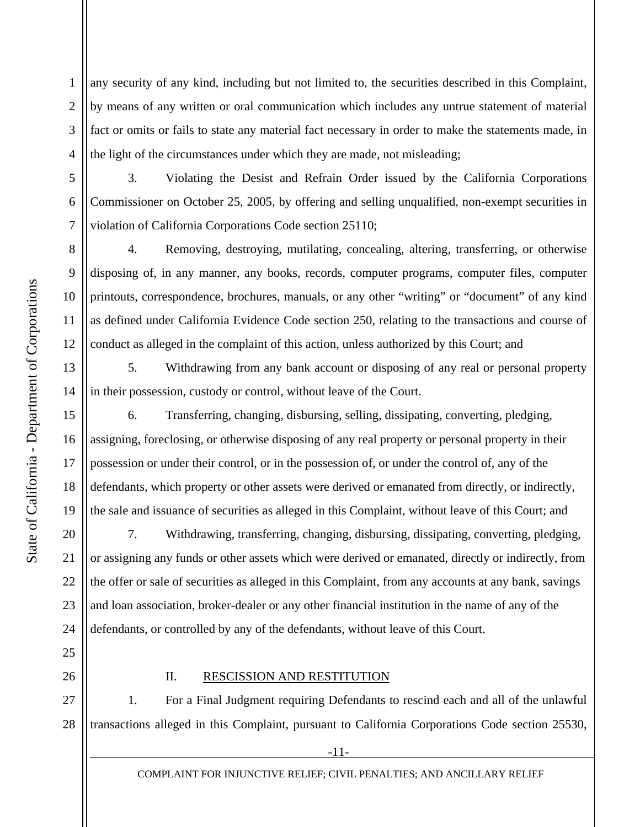1 2 3 4 any security of any kind, including but not limited to, the securities described in this Complaint, by means of any written or oral communication which includes any untrue statement of material fact or omits or fails to state any material fact necessary in order to make the statements made, in the light of the circumstances under which they are made, not misleading;

 3. Violating the Desist and Refrain Order issued by the California Corporations Commissioner on October 25, 2005, by offering and selling unqualified, non-exempt securities in violation of California Corporations Code section 25110;

 4. Removing, destroying, mutilating, concealing, altering, transferring, or otherwise disposing of, in any manner, any books, records, computer programs, computer files, computer printouts, correspondence, brochures, manuals, or any other "writing" or "document" of any kind as defined under California Evidence Code section 250, relating to the transactions and course of conduct as alleged in the complaint of this action, unless authorized by this Court; and

 5. Withdrawing from any bank account or disposing of any real or personal property in their possession, custody or control, without leave of the Court.

 6. Transferring, changing, disbursing, selling, dissipating, converting, pledging, assigning, foreclosing, or otherwise disposing of any real property or personal property in their possession or under their control, or in the possession of, or under the control of, any of the defendants, which property or other assets were derived or emanated from directly, or indirectly, the sale and issuance of securities as alleged in this Complaint, without leave of this Court; and

20 22 23 24 7. Withdrawing, transferring, changing, disbursing, dissipating, converting, pledging, or assigning any funds or other assets which were derived or emanated, directly or indirectly, from the offer or sale of securities as alleged in this Complaint, from any accounts at any bank, savings and loan association, broker-dealer or any other financial institution in the name of any of the defendants, or controlled by any of the defendants, without leave of this Court.

26

25

## II. RESCISSION AND RESTITUTION

27 28 1. For a Final Judgment requiring Defendants to rescind each and all of the unlawful transactions alleged in this Complaint, pursuant to California Corporations Code section 25530,

-11-

COMPLAINT FOR INJUNCTIVE RELIEF; CIVIL PENALTIES; AND ANCILLARY RELIEF

5

6

7

8

9

10

11

12

13

14

15

16

17

18

19

21